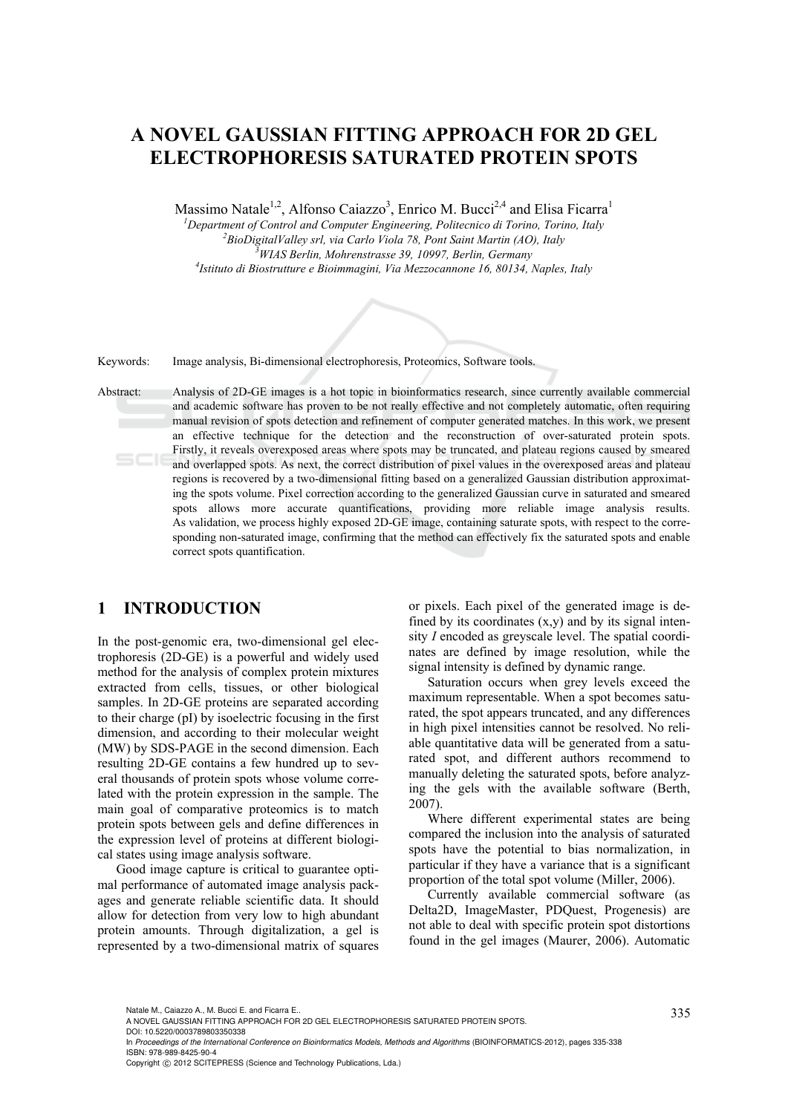# **A NOVEL GAUSSIAN FITTING APPROACH FOR 2D GEL ELECTROPHORESIS SATURATED PROTEIN SPOTS**

Massimo Natale<sup>1,2</sup>, Alfonso Caiazzo<sup>3</sup>, Enrico M. Bucci<sup>2,4</sup> and Elisa Ficarra<sup>1</sup>

<sup>1</sup><br> *Pepartment of Control and Computer Engineering, Politecnico di Torino, Torino, Italy*<br>
<sup>2</sup> *DioDistitalVallay sul via Carlo Viola 78*, Pont Saint Martin (40), Italy <sup>2</sup> BioDigitalValley srl, via Carlo Viola 78, Pont Saint Martin (AO), Italy *WIAS Berlin, Mohrenstrasse 39, 10997, Berlin, Germany 4 Istituto di Biostrutture e Bioimmagini, Via Mezzocannone 16, 80134, Naples, Italy* 

Keywords: Image analysis, Bi-dimensional electrophoresis, Proteomics, Software tools.

Abstract: Analysis of 2D-GE images is a hot topic in bioinformatics research, since currently available commercial and academic software has proven to be not really effective and not completely automatic, often requiring manual revision of spots detection and refinement of computer generated matches. In this work, we present an effective technique for the detection and the reconstruction of over-saturated protein spots. Firstly, it reveals overexposed areas where spots may be truncated, and plateau regions caused by smeared and overlapped spots. As next, the correct distribution of pixel values in the overexposed areas and plateau regions is recovered by a two-dimensional fitting based on a generalized Gaussian distribution approximating the spots volume. Pixel correction according to the generalized Gaussian curve in saturated and smeared spots allows more accurate quantifications, providing more reliable image analysis results. As validation, we process highly exposed 2D-GE image, containing saturate spots, with respect to the corresponding non-saturated image, confirming that the method can effectively fix the saturated spots and enable correct spots quantification.

# **1 INTRODUCTION**

In the post-genomic era, two-dimensional gel electrophoresis (2D-GE) is a powerful and widely used method for the analysis of complex protein mixtures extracted from cells, tissues, or other biological samples. In 2D-GE proteins are separated according to their charge (pI) by isoelectric focusing in the first dimension, and according to their molecular weight (MW) by SDS-PAGE in the second dimension. Each resulting 2D-GE contains a few hundred up to several thousands of protein spots whose volume correlated with the protein expression in the sample. The main goal of comparative proteomics is to match protein spots between gels and define differences in the expression level of proteins at different biological states using image analysis software.

Good image capture is critical to guarantee optimal performance of automated image analysis packages and generate reliable scientific data. It should allow for detection from very low to high abundant protein amounts. Through digitalization, a gel is represented by a two-dimensional matrix of squares

or pixels. Each pixel of the generated image is defined by its coordinates  $(x,y)$  and by its signal intensity *I* encoded as greyscale level. The spatial coordinates are defined by image resolution, while the signal intensity is defined by dynamic range.

Saturation occurs when grey levels exceed the maximum representable. When a spot becomes saturated, the spot appears truncated, and any differences in high pixel intensities cannot be resolved. No reliable quantitative data will be generated from a saturated spot, and different authors recommend to manually deleting the saturated spots, before analyzing the gels with the available software (Berth, 2007).

Where different experimental states are being compared the inclusion into the analysis of saturated spots have the potential to bias normalization, in particular if they have a variance that is a significant proportion of the total spot volume (Miller, 2006).

Currently available commercial software (as Delta2D, ImageMaster, PDQuest, Progenesis) are not able to deal with specific protein spot distortions found in the gel images (Maurer, 2006). Automatic

Natale M., Caiazzo A., M. Bucci E. and Ficarra E..<br>A NOVEL GAUSSIAN FITTING APPROACH FOR 2D GEL ELECTROPHORESIS SATURATED PROTEIN SPOTS.

DOI: 10.5220/0003789803350338

In Proceedings of the International Conference on Bioinformatics Models, Methods and Algorithms (BIOINFORMATICS-2012), pages 335-338 ISBN: 978-989-8425-90-4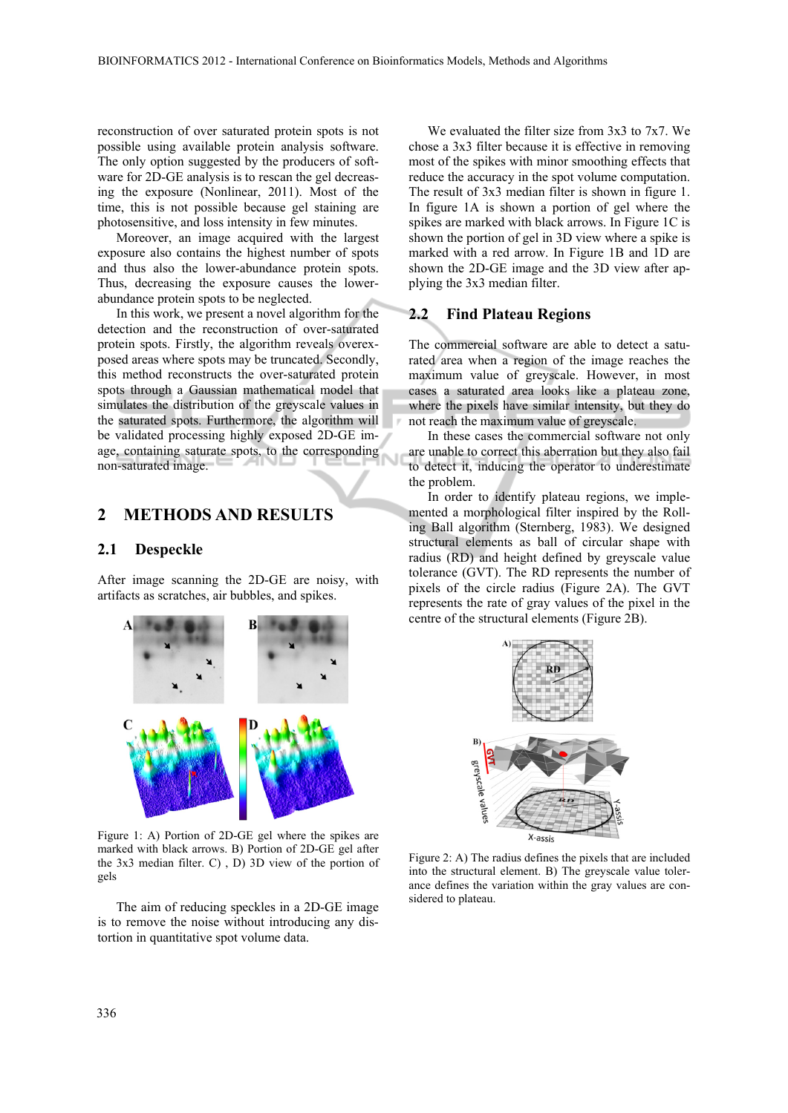reconstruction of over saturated protein spots is not possible using available protein analysis software. The only option suggested by the producers of software for 2D-GE analysis is to rescan the gel decreasing the exposure (Nonlinear, 2011). Most of the time, this is not possible because gel staining are photosensitive, and loss intensity in few minutes.

Moreover, an image acquired with the largest exposure also contains the highest number of spots and thus also the lower-abundance protein spots. Thus, decreasing the exposure causes the lowerabundance protein spots to be neglected.

In this work, we present a novel algorithm for the detection and the reconstruction of over-saturated protein spots. Firstly, the algorithm reveals overexposed areas where spots may be truncated. Secondly, this method reconstructs the over-saturated protein spots through a Gaussian mathematical model that simulates the distribution of the greyscale values in the saturated spots. Furthermore, the algorithm will be validated processing highly exposed 2D-GE image, containing saturate spots, to the corresponding non-saturated image.

## **2 METHODS AND RESULTS**

#### **2.1 Despeckle**

After image scanning the 2D-GE are noisy, with artifacts as scratches, air bubbles, and spikes.



Figure 1: A) Portion of 2D-GE gel where the spikes are marked with black arrows. B) Portion of 2D-GE gel after the 3x3 median filter. C) , D) 3D view of the portion of gels

The aim of reducing speckles in a 2D-GE image is to remove the noise without introducing any distortion in quantitative spot volume data.

We evaluated the filter size from 3x3 to 7x7. We chose a 3x3 filter because it is effective in removing most of the spikes with minor smoothing effects that reduce the accuracy in the spot volume computation. The result of 3x3 median filter is shown in figure 1. In figure 1A is shown a portion of gel where the spikes are marked with black arrows. In Figure 1C is shown the portion of gel in 3D view where a spike is marked with a red arrow. In Figure 1B and 1D are shown the 2D-GE image and the 3D view after applying the 3x3 median filter.

#### **2.2 Find Plateau Regions**

The commercial software are able to detect a saturated area when a region of the image reaches the maximum value of greyscale. However, in most cases a saturated area looks like a plateau zone, where the pixels have similar intensity, but they do not reach the maximum value of greyscale.

In these cases the commercial software not only are unable to correct this aberration but they also fail to detect it, inducing the operator to underestimate the problem.

In order to identify plateau regions, we implemented a morphological filter inspired by the Rolling Ball algorithm (Sternberg, 1983). We designed structural elements as ball of circular shape with radius (RD) and height defined by greyscale value tolerance (GVT). The RD represents the number of pixels of the circle radius (Figure 2A). The GVT represents the rate of gray values of the pixel in the centre of the structural elements (Figure 2B).



Figure 2: A) The radius defines the pixels that are included into the structural element. B) The greyscale value tolerance defines the variation within the gray values are considered to plateau.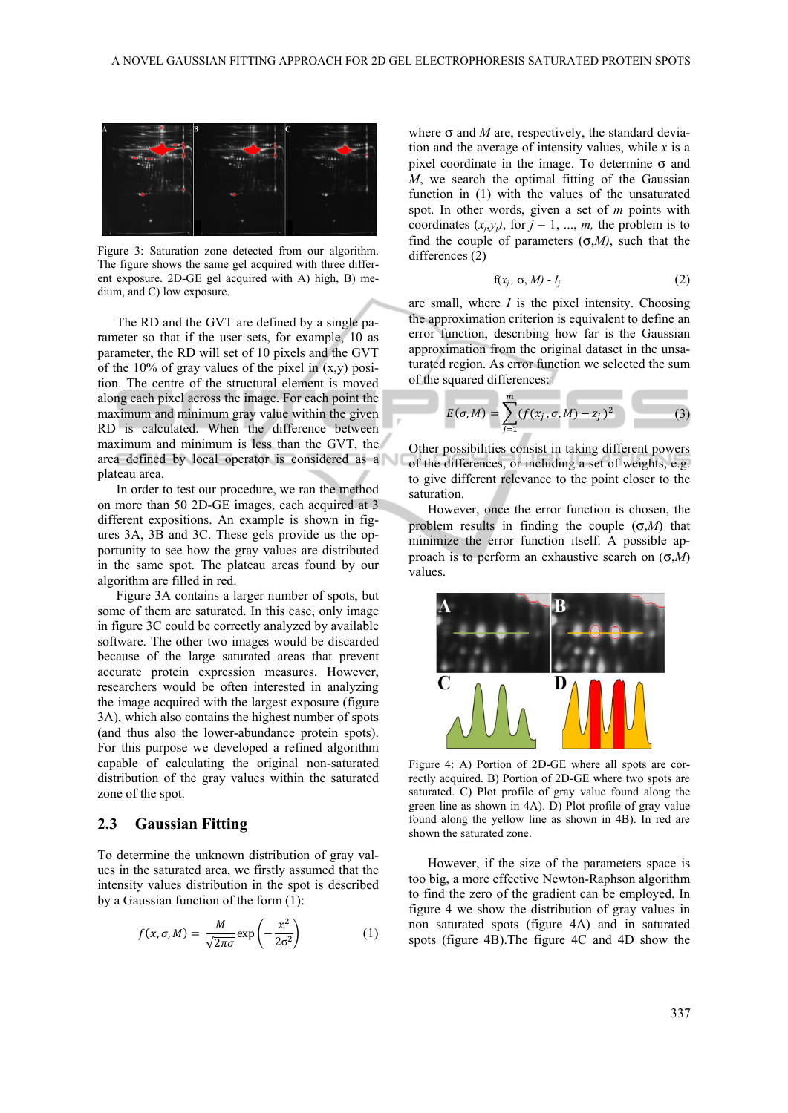

Figure 3: Saturation zone detected from our algorithm. The figure shows the same gel acquired with three different exposure. 2D-GE gel acquired with A) high, B) medium, and C) low exposure.

The RD and the GVT are defined by a single parameter so that if the user sets, for example, 10 as parameter, the RD will set of 10 pixels and the GVT of the  $10\%$  of gray values of the pixel in  $(x,y)$  position. The centre of the structural element is moved along each pixel across the image. For each point the maximum and minimum gray value within the given RD is calculated. When the difference between maximum and minimum is less than the GVT, the area defined by local operator is considered as a plateau area.

In order to test our procedure, we ran the method on more than 50 2D-GE images, each acquired at 3 different expositions. An example is shown in figures 3A, 3B and 3C. These gels provide us the opportunity to see how the gray values are distributed in the same spot. The plateau areas found by our algorithm are filled in red.

Figure 3A contains a larger number of spots, but some of them are saturated. In this case, only image in figure 3C could be correctly analyzed by available software. The other two images would be discarded because of the large saturated areas that prevent accurate protein expression measures. However, researchers would be often interested in analyzing the image acquired with the largest exposure (figure 3A), which also contains the highest number of spots (and thus also the lower-abundance protein spots). For this purpose we developed a refined algorithm capable of calculating the original non-saturated distribution of the gray values within the saturated zone of the spot.

#### **2.3 Gaussian Fitting**

To determine the unknown distribution of gray values in the saturated area, we firstly assumed that the intensity values distribution in the spot is described by a Gaussian function of the form (1):

$$
f(x, \sigma, M) = \frac{M}{\sqrt{2\pi\sigma}} \exp\left(-\frac{x^2}{2\sigma^2}\right) \tag{1}
$$

where  $\sigma$  and *M* are, respectively, the standard deviation and the average of intensity values, while *x* is a pixel coordinate in the image. To determine  $\sigma$  and *M*, we search the optimal fitting of the Gaussian function in (1) with the values of the unsaturated spot. In other words, given a set of *m* points with coordinates  $(x_i, y_j)$ , for  $j = 1, ..., m$ , the problem is to find the couple of parameters  $(\sigma, M)$ , such that the differences (2)

$$
f(x_j, \sigma, M) - I_j \tag{2}
$$

are small, where *I* is the pixel intensity. Choosing the approximation criterion is equivalent to define an error function, describing how far is the Gaussian approximation from the original dataset in the unsaturated region. As error function we selected the sum of the squared differences:

$$
E(\sigma, M) = \sum_{j=1}^{m} (f(x_j, \sigma, M) - z_j)^2
$$
 (3)

Other possibilities consist in taking different powers of the differences, or including a set of weights, e.g. to give different relevance to the point closer to the saturation.

However, once the error function is chosen, the problem results in finding the couple (σ,*M*) that minimize the error function itself. A possible approach is to perform an exhaustive search on (σ,*M*) values.



Figure 4: A) Portion of 2D-GE where all spots are correctly acquired. B) Portion of 2D-GE where two spots are saturated. C) Plot profile of gray value found along the green line as shown in 4A). D) Plot profile of gray value found along the yellow line as shown in 4B). In red are shown the saturated zone.

However, if the size of the parameters space is too big, a more effective Newton-Raphson algorithm to find the zero of the gradient can be employed. In figure 4 we show the distribution of gray values in non saturated spots (figure 4A) and in saturated spots (figure 4B).The figure 4C and 4D show the